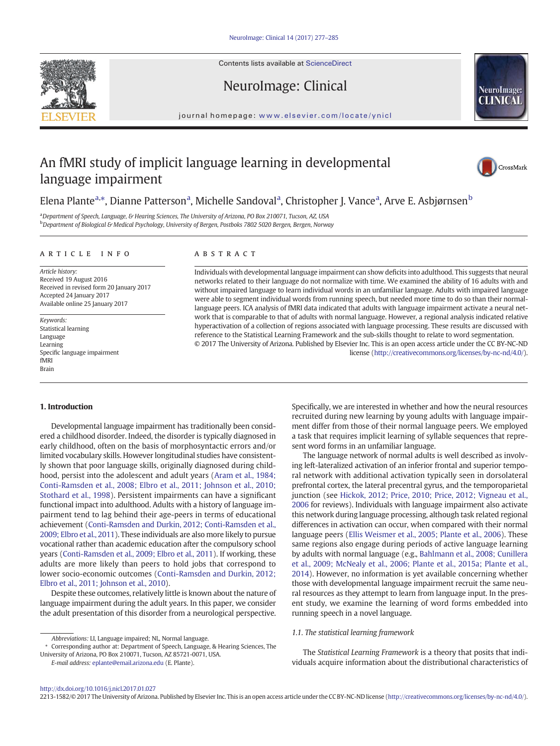Contents lists available at ScienceDirect

NeuroImage: Clinical





journal homepage: <www.elsevier.com/locate/ynicl>

# An fMRI study of implicit language learning in developmental language impairment



# Elena Plante<sup>a,\*</sup>, Dianne Patterson<sup>a</sup>, Michelle Sandoval<sup>a</sup>, Christopher J. Vance<sup>a</sup>, Arve E. Asbjørnsen<sup>b</sup>

a Department of Speech, Language, & Hearing Sciences, The University of Arizona, PO Box 210071, Tucson, AZ, USA <sup>b</sup> Department of Biological & Medical Psychology, University of Bergen, Postboks 7802 5020 Bergen, Bergen, Norway

#### article info abstract

Article history: Received 19 August 2016 Received in revised form 20 January 2017 Accepted 24 January 2017 Available online 25 January 2017

Keywords: Statistical learning Language Learning Specific language impairment fMRI Brain

Individuals with developmental language impairment can show deficits into adulthood. This suggests that neural networks related to their language do not normalize with time. We examined the ability of 16 adults with and without impaired language to learn individual words in an unfamiliar language. Adults with impaired language were able to segment individual words from running speech, but needed more time to do so than their normallanguage peers. ICA analysis of fMRI data indicated that adults with language impairment activate a neural network that is comparable to that of adults with normal language. However, a regional analysis indicated relative hyperactivation of a collection of regions associated with language processing. These results are discussed with reference to the Statistical Learning Framework and the sub-skills thought to relate to word segmentation. © 2017 The University of Arizona. Published by Elsevier Inc. This is an open access article under the CC BY-NC-ND

license [\(http://creativecommons.org/licenses/by-nc-nd/4.0/\)](http://creativecommons.org/licenses/by-nc-nd/4.0/).

## 1. Introduction

Developmental language impairment has traditionally been considered a childhood disorder. Indeed, the disorder is typically diagnosed in early childhood, often on the basis of morphosyntactic errors and/or limited vocabulary skills. However longitudinal studies have consistently shown that poor language skills, originally diagnosed during childhood, persist into the adolescent and adult years [\(Aram et al., 1984;](#page-7-0) [Conti-Ramsden et al., 2008; Elbro et al., 2011; Johnson et al., 2010;](#page-7-0) [Stothard et al., 1998](#page-7-0)). Persistent impairments can have a significant functional impact into adulthood. Adults with a history of language impairment tend to lag behind their age-peers in terms of educational achievement [\(Conti-Ramsden and Durkin, 2012; Conti-Ramsden et al.,](#page-7-0) [2009; Elbro et al., 2011](#page-7-0)). These individuals are also more likely to pursue vocational rather than academic education after the compulsory school years [\(Conti-Ramsden et al., 2009; Elbro et al., 2011\)](#page-7-0). If working, these adults are more likely than peers to hold jobs that correspond to lower socio-economic outcomes ([Conti-Ramsden and Durkin, 2012;](#page-7-0) [Elbro et al., 2011; Johnson et al., 2010\)](#page-7-0).

Despite these outcomes, relatively little is known about the nature of language impairment during the adult years. In this paper, we consider the adult presentation of this disorder from a neurological perspective.

E-mail address: [eplante@email.arizona.edu](mailto:eplante@email.arizona.edu) (E. Plante).

Specifically, we are interested in whether and how the neural resources recruited during new learning by young adults with language impairment differ from those of their normal language peers. We employed a task that requires implicit learning of syllable sequences that represent word forms in an unfamiliar language.

The language network of normal adults is well described as involving left-lateralized activation of an inferior frontal and superior temporal network with additional activation typically seen in dorsolateral prefrontal cortex, the lateral precentral gyrus, and the temporoparietal junction (see [Hickok, 2012; Price, 2010; Price, 2012; Vigneau et al.,](#page-8-0) [2006](#page-8-0) for reviews). Individuals with language impairment also activate this network during language processing, although task related regional differences in activation can occur, when compared with their normal language peers [\(Ellis Weismer et al., 2005; Plante et al., 2006](#page-7-0)). These same regions also engage during periods of active language learning by adults with normal language (e.g., [Bahlmann et al., 2008; Cunillera](#page-7-0) [et al., 2009; McNealy et al., 2006; Plante et al., 2015a; Plante et al.,](#page-7-0) [2014\)](#page-7-0). However, no information is yet available concerning whether those with developmental language impairment recruit the same neural resources as they attempt to learn from language input. In the present study, we examine the learning of word forms embedded into running speech in a novel language.

# 1.1. The statistical learning framework

The Statistical Learning Framework is a theory that posits that individuals acquire information about the distributional characteristics of

2213-1582/© 2017 The University of Arizona. Published by Elsevier Inc. This is an open access article under the CC BY-NC-ND license (<http://creativecommons.org/licenses/by-nc-nd/4.0/>).

Abbreviations: LI, Language impaired; NL, Normal language.

<sup>⁎</sup> Corresponding author at: Department of Speech, Language, & Hearing Sciences, The University of Arizona, PO Box 210071, Tucson, AZ 85721-0071, USA.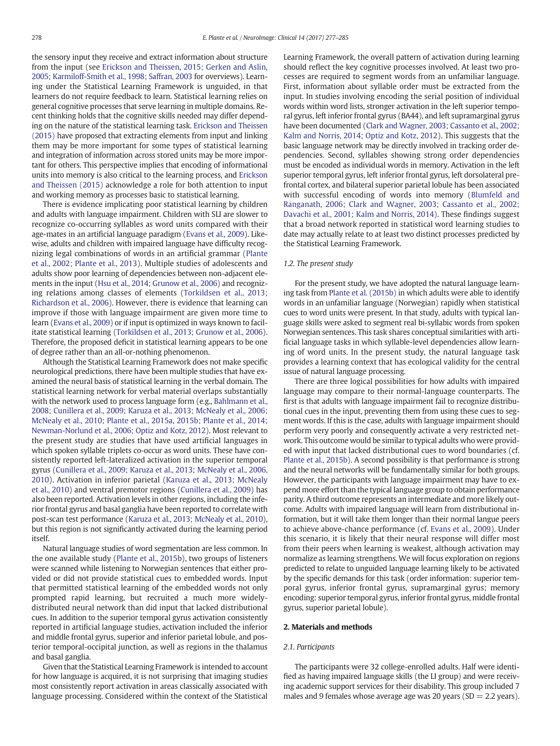the sensory input they receive and extract information about structure from the input (see [Erickson and Theissen, 2015; Gerken and Aslin,](#page-7-0) [2005; Karmiloff-Smith et al., 1998; Saffran, 2003](#page-7-0) for overviews). Learning under the Statistical Learning Framework is unguided, in that learners do not require feedback to learn. Statistical learning relies on general cognitive processes that serve learning in multiple domains. Recent thinking holds that the cognitive skills needed may differ depending on the nature of the statistical learning task. [Erickson and Theissen](#page-7-0) [\(2015\)](#page-7-0) have proposed that extracting elements from input and linking them may be more important for some types of statistical learning and integration of information across stored units may be more important for others. This perspective implies that encoding of informational units into memory is also critical to the learning process, and [Erickson](#page-7-0) [and Theissen \(2015\)](#page-7-0) acknowledge a role for both attention to input and working memory as processes basic to statistical learning.

There is evidence implicating poor statistical learning by children and adults with language impairment. Children with SLI are slower to recognize co-occurring syllables as word units compared with their age-mates in an artificial language paradigm [\(Evans et al., 2009\)](#page-7-0). Likewise, adults and children with impaired language have difficulty recognizing legal combinations of words in an artificial grammar ([Plante](#page-8-0) [et al., 2002; Plante et al., 2013\)](#page-8-0). Multiple studies of adolescents and adults show poor learning of dependencies between non-adjacent elements in the input [\(Hsu et al., 2014; Grunow et al., 2006](#page-8-0)) and recognizing relations among classes of elements ([Torkildsen et al., 2013;](#page-8-0) [Richardson et al., 2006\)](#page-8-0). However, there is evidence that learning can improve if those with language impairment are given more time to learn [\(Evans et al., 2009\)](#page-7-0) or if input is optimized in ways known to facilitate statistical learning ([Torkildsen et al., 2013; Grunow et al., 2006](#page-8-0)). Therefore, the proposed deficit in statistical learning appears to be one of degree rather than an all-or-nothing phenomenon.

Although the Statistical Learning Framework does not make specific neurological predictions, there have been multiple studies that have examined the neural basis of statistical learning in the verbal domain. The statistical learning network for verbal material overlaps substantially with the network used to process language form (e.g., [Bahlmann et al.,](#page-7-0) [2008; Cunillera et al., 2009; Karuza et al., 2013; McNealy et al., 2006;](#page-7-0) [McNealy et al., 2010; Plante et al., 2015a, 2015b; Plante et al., 2014;](#page-7-0) [Newman-Norlund et al., 2006; Optiz and Kotz, 2012\)](#page-7-0). Most relevant to the present study are studies that have used artificial languages in which spoken syllable triplets co-occur as word units. These have consistently reported left-lateralized activation in the superior temporal gyrus [\(Cunillera et al., 2009; Karuza et al., 2013; McNealy et al., 2006,](#page-7-0) [2010](#page-7-0)). Activation in inferior parietal ([Karuza et al., 2013; McNealy](#page-8-0) [et al., 2010](#page-8-0)) and ventral premotor regions [\(Cunillera et al., 2009\)](#page-7-0) has also been reported. Activation levels in other regions, including the inferior frontal gyrus and basal ganglia have been reported to correlate with post-scan test performance ([Karuza et al., 2013; McNealy et al., 2010\)](#page-8-0), but this region is not significantly activated during the learning period itself.

Natural language studies of word segmentation are less common. In the one available study ([Plante et al., 2015b](#page-8-0)), two groups of listeners were scanned while listening to Norwegian sentences that either provided or did not provide statistical cues to embedded words. Input that permitted statistical learning of the embedded words not only prompted rapid learning, but recruited a much more widelydistributed neural network than did input that lacked distributional cues. In addition to the superior temporal gyrus activation consistently reported in artificial language studies, activation included the inferior and middle frontal gyrus, superior and inferior parietal lobule, and posterior temporal-occipital junction, as well as regions in the thalamus and basal ganglia.

Given that the Statistical Learning Framework is intended to account for how language is acquired, it is not surprising that imaging studies most consistently report activation in areas classically associated with language processing. Considered within the context of the Statistical Learning Framework, the overall pattern of activation during learning should reflect the key cognitive processes involved. At least two processes are required to segment words from an unfamiliar language. First, information about syllable order must be extracted from the input. In studies involving encoding the serial position of individual words within word lists, stronger activation in the left superior temporal gyrus, left inferior frontal gyrus (BA44), and left supramarginal gyrus have been documented ([Clark and Wagner, 2003; Cassanto et al., 2002;](#page-7-0) [Kalm and Norris, 2014; Optiz and Kotz, 2012\)](#page-7-0). This suggests that the basic language network may be directly involved in tracking order dependencies. Second, syllables showing strong order dependencies must be encoded as individual words in memory. Activation in the left superior temporal gyrus, left inferior frontal gyrus, left dorsolateral prefrontal cortex, and bilateral superior parietal lobule has been associated with successful encoding of words into memory [\(Blumfeld and](#page-7-0) [Ranganath, 2006; Clark and Wagner, 2003; Cassanto et al., 2002;](#page-7-0) [Davachi et al., 2001; Kalm and Norris, 2014\)](#page-7-0). These findings suggest that a broad network reported in statistical word learning studies to date may actually relate to at least two distinct processes predicted by the Statistical Learning Framework.

# 1.2. The present study

For the present study, we have adopted the natural language learning task from [Plante et al. \(2015b\)](#page-8-0) in which adults were able to identify words in an unfamiliar language (Norwegian) rapidly when statistical cues to word units were present. In that study, adults with typical language skills were asked to segment real bi-syllabic words from spoken Norwegian sentences. This task shares conceptual similarities with artificial language tasks in which syllable-level dependencies allow learning of word units. In the present study, the natural language task provides a learning context that has ecological validity for the central issue of natural language processing.

There are three logical possibilities for how adults with impaired language may compare to their normal-language counterparts. The first is that adults with language impairment fail to recognize distributional cues in the input, preventing them from using these cues to segment words. If this is the case, adults with language impairment should perform very poorly and consequently activate a very restricted network. This outcome would be similar to typical adults who were provided with input that lacked distributional cues to word boundaries (cf. [Plante et al., 2015b\)](#page-8-0). A second possibility is that performance is strong and the neural networks will be fundamentally similar for both groups. However, the participants with language impairment may have to expend more effort than the typical language group to obtain performance parity. A third outcome represents an intermediate and more likely outcome. Adults with impaired language will learn from distributional information, but it will take them longer than their normal langue peers to achieve above-chance performance (cf. [Evans et al., 2009](#page-7-0)). Under this scenario, it is likely that their neural response will differ most from their peers when learning is weakest, although activation may normalize as learning strengthens. We will focus exploration on regions predicted to relate to unguided language learning likely to be activated by the specific demands for this task (order information: superior temporal gyrus, inferior frontal gyrus, supramarginal gyrus; memory encoding: superior temporal gyrus, inferior frontal gyrus, middle frontal gyrus, superior parietal lobule).

#### 2. Materials and methods

# 2.1. Participants

The participants were 32 college-enrolled adults. Half were identified as having impaired language skills (the LI group) and were receiving academic support services for their disability. This group included 7 males and 9 females whose average age was 20 years ( $SD = 2.2$  years).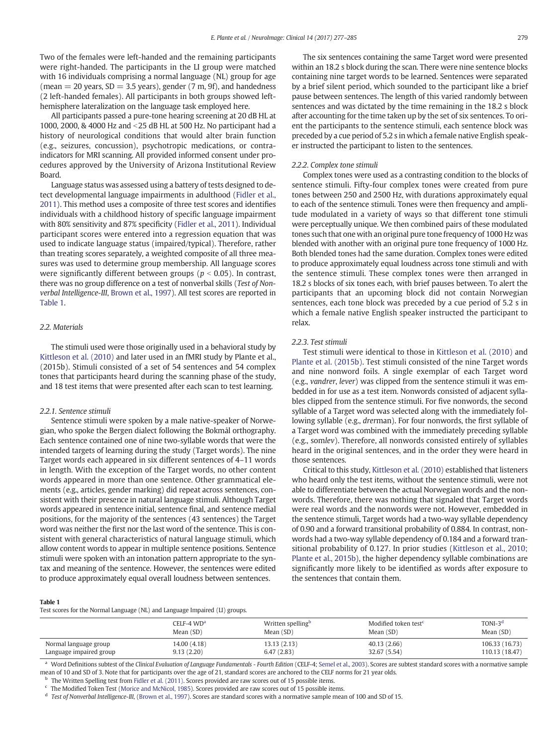Two of the females were left-handed and the remaining participants were right-handed. The participants in the LI group were matched with 16 individuals comprising a normal language (NL) group for age (mean  $= 20$  years, SD  $= 3.5$  years), gender (7 m, 9f), and handedness (2 left-handed females). All participants in both groups showed lefthemisphere lateralization on the language task employed here.

All participants passed a pure-tone hearing screening at 20 dB HL at 1000, 2000, & 4000 Hz and <25 dB HL at 500 Hz. No participant had a history of neurological conditions that would alter brain function (e.g., seizures, concussion), psychotropic medications, or contraindicators for MRI scanning. All provided informed consent under procedures approved by the University of Arizona Institutional Review Board.

Language status was assessed using a battery of tests designed to detect developmental language impairments in adulthood [\(Fidler et al.,](#page-8-0) [2011](#page-8-0)). This method uses a composite of three test scores and identifies individuals with a childhood history of specific language impairment with 80% sensitivity and 87% specificity ([Fidler et al., 2011](#page-8-0)). Individual participant scores were entered into a regression equation that was used to indicate language status (impaired/typical). Therefore, rather than treating scores separately, a weighted composite of all three measures was used to determine group membership. All language scores were significantly different between groups ( $p < 0.05$ ). In contrast, there was no group difference on a test of nonverbal skills (Test of Nonverbal Intelligence-III, [Brown et al., 1997](#page-7-0)). All test scores are reported in Table 1.

## 2.2. Materials

The stimuli used were those originally used in a behavioral study by [Kittleson et al. \(2010\)](#page-8-0) and later used in an fMRI study by Plante et al., (2015b). Stimuli consisted of a set of 54 sentences and 54 complex tones that participants heard during the scanning phase of the study, and 18 test items that were presented after each scan to test learning.

#### 2.2.1. Sentence stimuli

Sentence stimuli were spoken by a male native-speaker of Norwegian, who spoke the Bergen dialect following the Bokmål orthography. Each sentence contained one of nine two-syllable words that were the intended targets of learning during the study (Target words). The nine Target words each appeared in six different sentences of 4–11 words in length. With the exception of the Target words, no other content words appeared in more than one sentence. Other grammatical elements (e.g., articles, gender marking) did repeat across sentences, consistent with their presence in natural language stimuli. Although Target words appeared in sentence initial, sentence final, and sentence medial positions, for the majority of the sentences (43 sentences) the Target word was neither the first nor the last word of the sentence. This is consistent with general characteristics of natural language stimuli, which allow content words to appear in multiple sentence positions. Sentence stimuli were spoken with an intonation pattern appropriate to the syntax and meaning of the sentence. However, the sentences were edited to produce approximately equal overall loudness between sentences.

The six sentences containing the same Target word were presented within an 18.2 s block during the scan. There were nine sentence blocks containing nine target words to be learned. Sentences were separated by a brief silent period, which sounded to the participant like a brief pause between sentences. The length of this varied randomly between sentences and was dictated by the time remaining in the 18.2 s block after accounting for the time taken up by the set of six sentences. To orient the participants to the sentence stimuli, each sentence block was preceded by a cue period of 5.2 s in which a female native English speaker instructed the participant to listen to the sentences.

#### 2.2.2. Complex tone stimuli

Complex tones were used as a contrasting condition to the blocks of sentence stimuli. Fifty-four complex tones were created from pure tones between 250 and 2500 Hz, with durations approximately equal to each of the sentence stimuli. Tones were then frequency and amplitude modulated in a variety of ways so that different tone stimuli were perceptually unique. We then combined pairs of these modulated tones such that one with an original pure tone frequency of 1000 Hz was blended with another with an original pure tone frequency of 1000 Hz. Both blended tones had the same duration. Complex tones were edited to produce approximately equal loudness across tone stimuli and with the sentence stimuli. These complex tones were then arranged in 18.2 s blocks of six tones each, with brief pauses between. To alert the participants that an upcoming block did not contain Norwegian sentences, each tone block was preceded by a cue period of 5.2 s in which a female native English speaker instructed the participant to relax.

# 2.2.3. Test stimuli

Test stimuli were identical to those in [Kittleson et al. \(2010\)](#page-8-0) and [Plante et al. \(2015b\).](#page-8-0) Test stimuli consisted of the nine Target words and nine nonword foils. A single exemplar of each Target word (e.g., vandrer, lever) was clipped from the sentence stimuli it was embedded in for use as a test item. Nonwords consisted of adjacent syllables clipped from the sentence stimuli. For five nonwords, the second syllable of a Target word was selected along with the immediately following syllable (e.g., drerman). For four nonwords, the first syllable of a Target word was combined with the immediately preceding syllable (e.g., somlev). Therefore, all nonwords consisted entirely of syllables heard in the original sentences, and in the order they were heard in those sentences.

Critical to this study, [Kittleson et al. \(2010\)](#page-8-0) established that listeners who heard only the test items, without the sentence stimuli, were not able to differentiate between the actual Norwegian words and the nonwords. Therefore, there was nothing that signaled that Target words were real words and the nonwords were not. However, embedded in the sentence stimuli, Target words had a two-way syllable dependency of 0.90 and a forward transitional probability of 0.884. In contrast, nonwords had a two-way syllable dependency of 0.184 and a forward transitional probability of 0.127. In prior studies ([Kittleson et al., 2010;](#page-8-0) [Plante et al., 2015b](#page-8-0)), the higher dependency syllable combinations are significantly more likely to be identified as words after exposure to the sentences that contain them.

# Table 1

Test scores for the Normal Language (NL) and Language Impaired (LI) groups.

|                         | CELF-4 WD <sup>a</sup> | Written spelling <sup>b</sup> | Modified token test <sup>c</sup> | $TONI-3d$      |
|-------------------------|------------------------|-------------------------------|----------------------------------|----------------|
|                         | Mean (SD)              | Mean (SD)                     | Mean (SD)                        | Mean (SD)      |
| Normal language group   | 14.00 (4.18)           | 13.13 (2.13)                  | 40.13(2.66)                      | 106.33 (16.73) |
| Language impaired group | 9.13(2.20)             | 6.47(2.83)                    | 32.67 (5.54)                     | 110.13 (18.47) |

<sup>a</sup> Word Definitions subtest of the Clinical Evaluation of Language Fundamentals - Fourth Edition (CELF-4; [Semel et al., 2003](#page-8-0)). Scores are subtest standard scores with a normative sample mean of 10 and SD of 3. Note that for participants over the age of 21, standard scores are anchored to the CELF norms for 21 year olds.

<sup>b</sup> The Written Spelling test from [Fidler et al. \(2011\)](#page-8-0). Scores provided are raw scores out of 15 possible items.

<sup>c</sup> The Modified Token Test ([Morice and McNicol, 1985\)](#page-8-0). Scores provided are raw scores out of 15 possible items.

Test of Nonverbal Intelligence-III, [\(Brown et al., 1997](#page-7-0)). Scores are standard scores with a normative sample mean of 100 and SD of 15.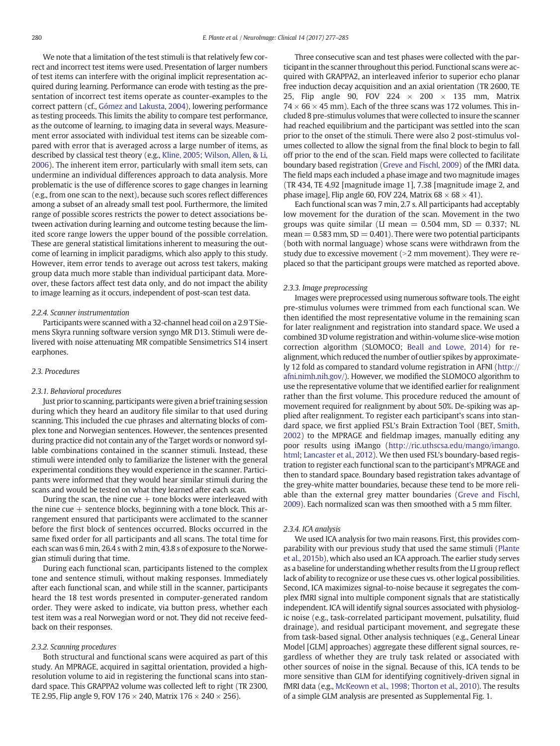We note that a limitation of the test stimuli is that relatively few correct and incorrect test items were used. Presentation of larger numbers of test items can interfere with the original implicit representation acquired during learning. Performance can erode with testing as the presentation of incorrect test items operate as counter-examples to the correct pattern (cf., [Gómez and Lakusta, 2004](#page-8-0)), lowering performance as testing proceeds. This limits the ability to compare test performance, as the outcome of learning, to imaging data in several ways. Measurement error associated with individual test items can be sizeable compared with error that is averaged across a large number of items, as described by classical test theory (e.g., [Kline, 2005;](#page-8-0) [Wilson, Allen, & Li,](#page-8-0) [2006\)](#page-8-0). The inherent item error, particularly with small item sets, can undermine an individual differences approach to data analysis. More problematic is the use of difference scores to gage changes in learning (e.g., from one scan to the next), because such scores reflect differences among a subset of an already small test pool. Furthermore, the limited range of possible scores restricts the power to detect associations between activation during learning and outcome testing because the limited score range lowers the upper bound of the possible correlation. These are general statistical limitations inherent to measuring the outcome of learning in implicit paradigms, which also apply to this study. However, item error tends to average out across test takers, making group data much more stable than individual participant data. Moreover, these factors affect test data only, and do not impact the ability to image learning as it occurs, independent of post-scan test data.

# 2.2.4. Scanner instrumentation

Participants were scanned with a 32-channel head coil on a 2.9 T Siemens Skyra running software version syngo MR D13. Stimuli were delivered with noise attenuating MR compatible Sensimetrics S14 insert earphones.

# 2.3. Procedures

# 2.3.1. Behavioral procedures

Just prior to scanning, participants were given a brief training session during which they heard an auditory file similar to that used during scanning. This included the cue phrases and alternating blocks of complex tone and Norwegian sentences. However, the sentences presented during practice did not contain any of the Target words or nonword syllable combinations contained in the scanner stimuli. Instead, these stimuli were intended only to familiarize the listener with the general experimental conditions they would experience in the scanner. Participants were informed that they would hear similar stimuli during the scans and would be tested on what they learned after each scan.

During the scan, the nine cue  $+$  tone blocks were interleaved with the nine cue  $+$  sentence blocks, beginning with a tone block. This arrangement ensured that participants were acclimated to the scanner before the first block of sentences occurred. Blocks occurred in the same fixed order for all participants and all scans. The total time for each scan was 6 min, 26.4 s with 2 min, 43.8 s of exposure to the Norwegian stimuli during that time.

During each functional scan, participants listened to the complex tone and sentence stimuli, without making responses. Immediately after each functional scan, and while still in the scanner, participants heard the 18 test words presented in computer-generated random order. They were asked to indicate, via button press, whether each test item was a real Norwegian word or not. They did not receive feedback on their responses.

# 2.3.2. Scanning procedures

Both structural and functional scans were acquired as part of this study. An MPRAGE, acquired in sagittal orientation, provided a highresolution volume to aid in registering the functional scans into standard space. This GRAPPA2 volume was collected left to right (TR 2300, TE 2.95, Flip angle 9, FOV 176  $\times$  240, Matrix 176  $\times$  240  $\times$  256).

Three consecutive scan and test phases were collected with the participant in the scanner throughout this period. Functional scans were acquired with GRAPPA2, an interleaved inferior to superior echo planar free induction decay acquisition and an axial orientation (TR 2600, TE 25, Flip angle 90, FOV 224  $\times$  200  $\times$  135 mm, Matrix  $74 \times 66 \times 45$  mm). Each of the three scans was 172 volumes. This included 8 pre-stimulus volumes that were collected to insure the scanner had reached equilibrium and the participant was settled into the scan prior to the onset of the stimuli. There were also 2 post-stimulus volumes collected to allow the signal from the final block to begin to fall off prior to the end of the scan. Field maps were collected to facilitate boundary based registration ([Greve and Fischl, 2009](#page-8-0)) of the fMRI data. The field maps each included a phase image and two magnitude images (TR 434, TE 4.92 [magnitude image 1], 7.38 [magnitude image 2, and phase image], Flip angle 60, FOV 224, Matrix  $68 \times 68 \times 41$ ).

Each functional scan was 7 min, 2.7 s. All participants had acceptably low movement for the duration of the scan. Movement in the two groups was quite similar (LI mean  $= 0.504$  mm, SD  $= 0.337$ ; NL  $mean = 0.583$  mm,  $SD = 0.401$ ). There were two potential participants (both with normal language) whose scans were withdrawn from the study due to excessive movement  $(>2$  mm movement). They were replaced so that the participant groups were matched as reported above.

#### 2.3.3. Image preprocessing

Images were preprocessed using numerous software tools. The eight pre-stimulus volumes were trimmed from each functional scan. We then identified the most representative volume in the remaining scan for later realignment and registration into standard space. We used a combined 3D volume registration and within-volume slice-wise motion correction algorithm (SLOMOCO; [Beall and Lowe, 2014\)](#page-7-0) for realignment, which reduced the number of outlier spikes by approximately 12 fold as compared to standard volume registration in AFNI ([http://](http://afni.nimh.nih.gov/v) [afni.nimh.nih.gov/](http://afni.nimh.nih.gov/v)). However, we modified the SLOMOCO algorithm to use the representative volume that we identified earlier for realignment rather than the first volume. This procedure reduced the amount of movement required for realignment by about 50%. De-spiking was applied after realignment. To register each participant's scans into standard space, we first applied FSL's Brain Extraction Tool (BET, [Smith,](#page-8-0) [2002](#page-8-0)) to the MPRAGE and fieldmap images, manually editing any poor results using iMango [\(http://ric.uthscsa.edu/mango/imango.](http://ric.uthscsa.edu/mango/imango.html;) [html;](http://ric.uthscsa.edu/mango/imango.html;) [Lancaster et al., 2012\)](#page-8-0). We then used FSL's boundary-based registration to register each functional scan to the participant's MPRAGE and then to standard space. Boundary based registration takes advantage of the grey-white matter boundaries, because these tend to be more reliable than the external grey matter boundaries [\(Greve and Fischl,](#page-8-0) [2009\)](#page-8-0). Each normalized scan was then smoothed with a 5 mm filter.

# 2.3.4. ICA analysis

We used ICA analysis for two main reasons. First, this provides comparability with our previous study that used the same stimuli [\(Plante](#page-8-0) [et al., 2015b](#page-8-0)), which also used an ICA approach. The earlier study serves as a baseline for understanding whether results from the LI group reflect lack of ability to recognize or use these cues vs. other logical possibilities. Second, ICA maximizes signal-to-noise because it segregates the complex fMRI signal into multiple component signals that are statistically independent. ICA will identify signal sources associated with physiologic noise (e.g., task-correlated participant movement, pulsatility, fluid drainage), and residual participant movement, and segregate these from task-based signal. Other analysis techniques (e.g., General Linear Model [GLM] approaches) aggregate these different signal sources, regardless of whether they are truly task related or associated with other sources of noise in the signal. Because of this, ICA tends to be more sensitive than GLM for identifying cognitively-driven signal in fMRI data (e.g., [McKeown et al., 1998; Thorton et al., 2010\)](#page-8-0). The results of a simple GLM analysis are presented as Supplemental Fig. 1.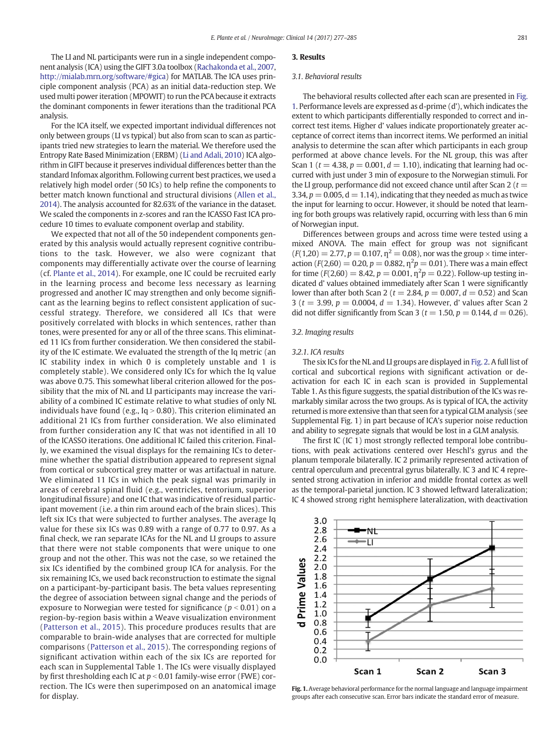The LI and NL participants were run in a single independent component analysis (ICA) using the GIFT 3.0a toolbox ([Rachakonda et al., 2007,](#page-8-0) <http://mialab.mrn.org/software/#gica>) for MATLAB. The ICA uses principle component analysis (PCA) as an initial data-reduction step. We used multi power iteration (MPOWIT) to run the PCA because it extracts the dominant components in fewer iterations than the traditional PCA analysis.

For the ICA itself, we expected important individual differences not only between groups (LI vs typical) but also from scan to scan as participants tried new strategies to learn the material. We therefore used the Entropy Rate Based Minimization (ERBM) ([Li and Adali, 2010\)](#page-8-0) ICA algorithm in GIFT because it preserves individual differences better than the standard Infomax algorithm. Following current best practices, we used a relatively high model order (50 ICs) to help refine the components to better match known functional and structural divisions ([Allen et al.,](#page-7-0) [2014](#page-7-0)). The analysis accounted for 82.63% of the variance in the dataset. We scaled the components in z-scores and ran the ICASSO Fast ICA procedure 10 times to evaluate component overlap and stability.

We expected that not all of the 50 independent components generated by this analysis would actually represent cognitive contributions to the task. However, we also were cognizant that components may differentially activate over the course of learning (cf. [Plante et al., 2014\)](#page-8-0). For example, one IC could be recruited early in the learning process and become less necessary as learning progressed and another IC may strengthen and only become significant as the learning begins to reflect consistent application of successful strategy. Therefore, we considered all ICs that were positively correlated with blocks in which sentences, rather than tones, were presented for any or all of the three scans. This eliminated 11 ICs from further consideration. We then considered the stability of the IC estimate. We evaluated the strength of the Iq metric (an IC stability index in which 0 is completely unstable and 1 is completely stable). We considered only ICs for which the Iq value was above 0.75. This somewhat liberal criterion allowed for the possibility that the mix of NL and LI participants may increase the variability of a combined IC estimate relative to what studies of only NL individuals have found (e.g.,  $Iq > 0.80$ ). This criterion eliminated an additional 21 ICs from further consideration. We also eliminated from further consideration any IC that was not identified in all 10 of the ICASSO iterations. One additional IC failed this criterion. Finally, we examined the visual displays for the remaining ICs to determine whether the spatial distribution appeared to represent signal from cortical or subcortical grey matter or was artifactual in nature. We eliminated 11 ICs in which the peak signal was primarily in areas of cerebral spinal fluid (e.g., ventricles, tentorium, superior longitudinal fissure) and one IC that was indicative of residual participant movement (i.e. a thin rim around each of the brain slices). This left six ICs that were subjected to further analyses. The average Iq value for these six ICs was 0.89 with a range of 0.77 to 0.97. As a final check, we ran separate ICAs for the NL and LI groups to assure that there were not stable components that were unique to one group and not the other. This was not the case, so we retained the six ICs identified by the combined group ICA for analysis. For the six remaining ICs, we used back reconstruction to estimate the signal on a participant-by-participant basis. The beta values representing the degree of association between signal change and the periods of exposure to Norwegian were tested for significance ( $p < 0.01$ ) on a region-by-region basis within a Weave visualization environment [\(Patterson et al., 2015](#page-8-0)). This procedure produces results that are comparable to brain-wide analyses that are corrected for multiple comparisons [\(Patterson et al., 2015\)](#page-8-0). The corresponding regions of significant activation within each of the six ICs are reported for each scan in Supplemental Table 1. The ICs were visually displayed by first thresholding each IC at  $p < 0.01$  family-wise error (FWE) correction. The ICs were then superimposed on an anatomical image for display.

# 3. Results

### 3.1. Behavioral results

The behavioral results collected after each scan are presented in Fig. 1. Performance levels are expressed as d-prime (d'), which indicates the extent to which participants differentially responded to correct and incorrect test items. Higher d' values indicate proportionately greater acceptance of correct items than incorrect items. We performed an initial analysis to determine the scan after which participants in each group performed at above chance levels. For the NL group, this was after Scan 1 ( $t = 4.38$ ,  $p = 0.001$ ,  $d = 1.10$ ), indicating that learning had occurred with just under 3 min of exposure to the Norwegian stimuli. For the LI group, performance did not exceed chance until after Scan 2 ( $t =$ 3.34,  $p = 0.005$ ,  $d = 1.14$ ), indicating that they needed as much as twice the input for learning to occur. However, it should be noted that learning for both groups was relatively rapid, occurring with less than 6 min of Norwegian input.

Differences between groups and across time were tested using a mixed ANOVA. The main effect for group was not significant  $(F(1,20) = 2.77, p = 0.107, \eta^2 = 0.08)$ , nor was the group  $\times$  time interaction ( $F(2,60) = 0.20$ ,  $p = 0.882$ ,  $n^2p = 0.01$ ). There was a main effect for time ( $F(2,60) = 8.42$ ,  $p = 0.001$ ,  $\eta^2 p = 0.22$ ). Follow-up testing indicated d' values obtained immediately after Scan 1 were significantly lower than after both Scan 2 ( $t = 2.84$ ,  $p = 0.007$ ,  $d = 0.52$ ) and Scan 3 ( $t = 3.99$ ,  $p = 0.0004$ ,  $d = 1.34$ ). However, d' values after Scan 2 did not differ significantly from Scan 3 ( $t = 1.50$ ,  $p = 0.144$ ,  $d = 0.26$ ).

# 3.2. Imaging results

#### 3.2.1. ICA results

The six ICs for the NL and LI groups are displayed in [Fig. 2](#page-5-0). A full list of cortical and subcortical regions with significant activation or deactivation for each IC in each scan is provided in Supplemental Table 1. As this figure suggests, the spatial distribution of the ICs was remarkably similar across the two groups. As is typical of ICA, the activity returned is more extensive than that seen for a typical GLM analysis (see Supplemental Fig. 1) in part because of ICA's superior noise reduction and ability to segregate signals that would be lost in a GLM analysis.

The first IC (IC 1) most strongly reflected temporal lobe contributions, with peak activations centered over Heschl's gyrus and the planum temporale bilaterally. IC 2 primarily represented activation of central operculum and precentral gyrus bilaterally. IC 3 and IC 4 represented strong activation in inferior and middle frontal cortex as well as the temporal-parietal junction. IC 3 showed leftward lateralization; IC 4 showed strong right hemisphere lateralization, with deactivation



Fig. 1. Average behavioral performance for the normal language and language impairment groups after each consecutive scan. Error bars indicate the standard error of measure.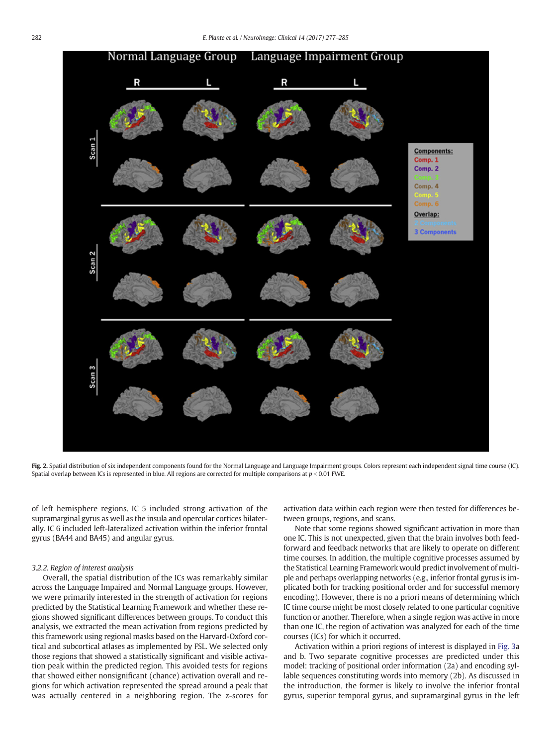<span id="page-5-0"></span>

Fig. 2. Spatial distribution of six independent components found for the Normal Language and Language Impairment groups. Colors represent each independent signal time course (IC). Spatial overlap between ICs is represented in blue. All regions are corrected for multiple comparisons at  $p < 0.01$  FWE.

of left hemisphere regions. IC 5 included strong activation of the supramarginal gyrus as well as the insula and opercular cortices bilaterally. IC 6 included left-lateralized activation within the inferior frontal gyrus (BA44 and BA45) and angular gyrus.

#### 3.2.2. Region of interest analysis

Overall, the spatial distribution of the ICs was remarkably similar across the Language Impaired and Normal Language groups. However, we were primarily interested in the strength of activation for regions predicted by the Statistical Learning Framework and whether these regions showed significant differences between groups. To conduct this analysis, we extracted the mean activation from regions predicted by this framework using regional masks based on the Harvard-Oxford cortical and subcortical atlases as implemented by FSL. We selected only those regions that showed a statistically significant and visible activation peak within the predicted region. This avoided tests for regions that showed either nonsignificant (chance) activation overall and regions for which activation represented the spread around a peak that was actually centered in a neighboring region. The z-scores for activation data within each region were then tested for differences between groups, regions, and scans.

Note that some regions showed significant activation in more than one IC. This is not unexpected, given that the brain involves both feedforward and feedback networks that are likely to operate on different time courses. In addition, the multiple cognitive processes assumed by the Statistical Learning Framework would predict involvement of multiple and perhaps overlapping networks (e.g., inferior frontal gyrus is implicated both for tracking positional order and for successful memory encoding). However, there is no a priori means of determining which IC time course might be most closely related to one particular cognitive function or another. Therefore, when a single region was active in more than one IC, the region of activation was analyzed for each of the time courses (ICs) for which it occurred.

Activation within a priori regions of interest is displayed in [Fig. 3a](#page-6-0) and b. Two separate cognitive processes are predicted under this model: tracking of positional order information (2a) and encoding syllable sequences constituting words into memory (2b). As discussed in the introduction, the former is likely to involve the inferior frontal gyrus, superior temporal gyrus, and supramarginal gyrus in the left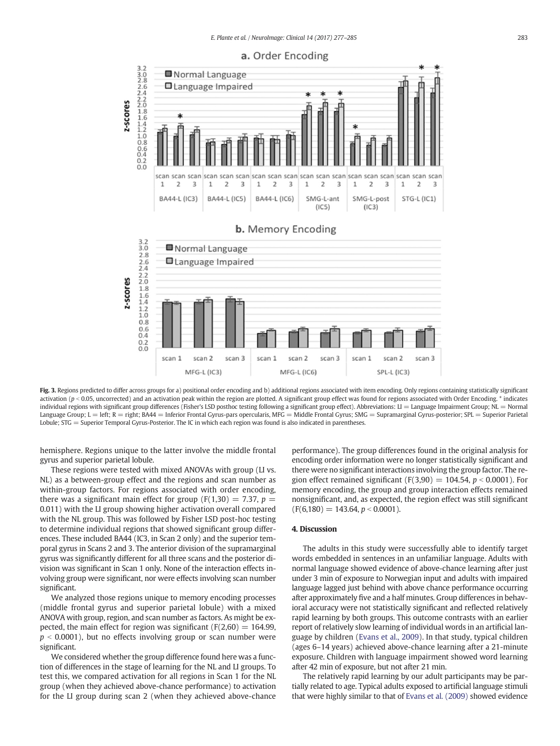<span id="page-6-0"></span>

Fig. 3. Regions predicted to differ across groups for a) positional order encoding and b) additional regions associated with item encoding. Only regions containing statistically significant activation ( $p < 0.05$ , uncorrected) and an activation peak within the region are plotted. A significant group effect was found for regions associated with Order Encoding. \* indicates individual regions with significant group differences (Fisher's LSD posthoc testing following a significant group effect). Abbreviations: LI = Language Impairment Group; NL = Normal Language Group; L = left; R = right; BA44 = Inferior Frontal Gyrus-pars opercularis, MFG = Middle Frontal Gyrus; SMG = Supramarginal Gyrus-posterior; SPL = Superior Parietal Lobule; STG = Superior Temporal Gyrus-Posterior. The IC in which each region was found is also indicated in parentheses.

hemisphere. Regions unique to the latter involve the middle frontal gyrus and superior parietal lobule.

These regions were tested with mixed ANOVAs with group (LI vs. NL) as a between-group effect and the regions and scan number as within-group factors. For regions associated with order encoding, there was a significant main effect for group ( $F(1,30) = 7.37$ ,  $p =$ 0.011) with the LI group showing higher activation overall compared with the NL group. This was followed by Fisher LSD post-hoc testing to determine individual regions that showed significant group differences. These included BA44 (IC3, in Scan 2 only) and the superior temporal gyrus in Scans 2 and 3. The anterior division of the supramarginal gyrus was significantly different for all three scans and the posterior division was significant in Scan 1 only. None of the interaction effects involving group were significant, nor were effects involving scan number significant.

We analyzed those regions unique to memory encoding processes (middle frontal gyrus and superior parietal lobule) with a mixed ANOVA with group, region, and scan number as factors. As might be expected, the main effect for region was significant ( $F(2,60) = 164.99$ ,  $p \le 0.0001$ ), but no effects involving group or scan number were significant.

We considered whether the group difference found here was a function of differences in the stage of learning for the NL and LI groups. To test this, we compared activation for all regions in Scan 1 for the NL group (when they achieved above-chance performance) to activation for the LI group during scan 2 (when they achieved above-chance performance). The group differences found in the original analysis for encoding order information were no longer statistically significant and there were no significant interactions involving the group factor. The region effect remained significant (F(3,90) =  $104.54$ ,  $p < 0.0001$ ). For memory encoding, the group and group interaction effects remained nonsignificant, and, as expected, the region effect was still significant  $(F(6,180) = 143.64, p < 0.0001).$ 

# 4. Discussion

The adults in this study were successfully able to identify target words embedded in sentences in an unfamiliar language. Adults with normal language showed evidence of above-chance learning after just under 3 min of exposure to Norwegian input and adults with impaired language lagged just behind with above chance performance occurring after approximately five and a half minutes. Group differences in behavioral accuracy were not statistically significant and reflected relatively rapid learning by both groups. This outcome contrasts with an earlier report of relatively slow learning of individual words in an artificial language by children ([Evans et al., 2009\)](#page-7-0). In that study, typical children (ages 6–14 years) achieved above-chance learning after a 21-minute exposure. Children with language impairment showed word learning after 42 min of exposure, but not after 21 min.

The relatively rapid learning by our adult participants may be partially related to age. Typical adults exposed to artificial language stimuli that were highly similar to that of [Evans et al. \(2009\)](#page-7-0) showed evidence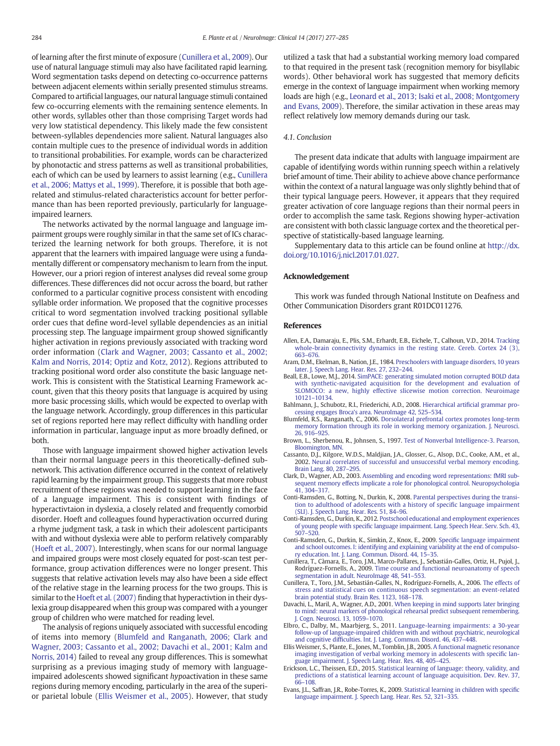<span id="page-7-0"></span>of learning after the first minute of exposure (Cunillera et al., 2009). Our use of natural language stimuli may also have facilitated rapid learning. Word segmentation tasks depend on detecting co-occurrence patterns between adjacent elements within serially presented stimulus streams. Compared to artificial languages, our natural language stimuli contained few co-occurring elements with the remaining sentence elements. In other words, syllables other than those comprising Target words had very low statistical dependency. This likely made the few consistent between-syllables dependencies more salient. Natural languages also contain multiple cues to the presence of individual words in addition to transitional probabilities. For example, words can be characterized by phonotactic and stress patterns as well as transitional probabilities, each of which can be used by learners to assist learning (e.g., Cunillera et al., 2006; Mattys et al., 1999). Therefore, it is possible that both agerelated and stimulus-related characteristics account for better performance than has been reported previously, particularly for languageimpaired learners.

The networks activated by the normal language and language impairment groups were roughly similar in that the same set of ICs characterized the learning network for both groups. Therefore, it is not apparent that the learners with impaired language were using a fundamentally different or compensatory mechanism to learn from the input. However, our a priori region of interest analyses did reveal some group differences. These differences did not occur across the board, but rather conformed to a particular cognitive process consistent with encoding syllable order information. We proposed that the cognitive processes critical to word segmentation involved tracking positional syllable order cues that define word-level syllable dependencies as an initial processing step. The language impairment group showed significantly higher activation in regions previously associated with tracking word order information (Clark and Wagner, 2003; Cassanto et al., 2002; Kalm and Norris, 2014; Optiz and Kotz, 2012). Regions attributed to tracking positional word order also constitute the basic language network. This is consistent with the Statistical Learning Framework account, given that this theory posits that language is acquired by using more basic processing skills, which would be expected to overlap with the language network. Accordingly, group differences in this particular set of regions reported here may reflect difficulty with handling order information in particular, language input as more broadly defined, or both.

Those with language impairment showed higher activation levels than their normal language peers in this theoretically-defined subnetwork. This activation difference occurred in the context of relatively rapid learning by the impairment group. This suggests that more robust recruitment of these regions was needed to support learning in the face of a language impairment. This is consistent with findings of hyperactivtaion in dyslexia, a closely related and frequently comorbid disorder. Hoeft and colleagues found hyperactivation occurred during a rhyme judgment task, a task in which their adolescent participants with and without dyslexia were able to perform relatively comparably [\(Hoeft et al., 2007\)](#page-8-0). Interestingly, when scans for our normal language and impaired groups were most closely equated for post-scan test performance, group activation differences were no longer present. This suggests that relative activation levels may also have been a side effect of the relative stage in the learning process for the two groups. This is similar to the [Hoeft et al. \(2007\)](#page-8-0) finding that hyperactivtion in their dyslexia group disappeared when this group was compared with a younger group of children who were matched for reading level.

The analysis of regions uniquely associated with successful encoding of items into memory (Blumfeld and Ranganath, 2006; Clark and Wagner, 2003; Cassanto et al., 2002; Davachi et al., 2001; Kalm and Norris, 2014) failed to reveal any group differences. This is somewhat surprising as a previous imaging study of memory with languageimpaired adolescents showed significant hypoactivation in these same regions during memory encoding, particularly in the area of the superior parietal lobule (Ellis Weismer et al., 2005). However, that study

utilized a task that had a substantial working memory load compared to that required in the present task (recognition memory for bisyllabic words). Other behavioral work has suggested that memory deficits emerge in the context of language impairment when working memory loads are high (e.g., [Leonard et al., 2013; Isaki et al., 2008; Montgomery](#page-8-0) [and Evans, 2009](#page-8-0)). Therefore, the similar activation in these areas may reflect relatively low memory demands during our task.

## 4.1. Conclusion

The present data indicate that adults with language impairment are capable of identifying words within running speech within a relatively brief amount of time. Their ability to achieve above chance performance within the context of a natural language was only slightly behind that of their typical language peers. However, it appears that they required greater activation of core language regions than their normal peers in order to accomplish the same task. Regions showing hyper-activation are consistent with both classic language cortex and the theoretical perspective of statistically-based language learning.

Supplementary data to this article can be found online at [http://dx.](http://dx.doi.org/10.1016/j.nicl.2017.01.027) [doi.org/10.1016/j.nicl.2017.01.027](http://dx.doi.org/10.1016/j.nicl.2017.01.027).

#### Acknowledgement

This work was funded through National Institute on Deafness and Other Communication Disorders grant R01DC011276.

# References

- Allen, E.A., Damaraju, E., Plis, S.M., Erhardt, E.B., Eichele, T., Calhoun, V.D., 2014. [Tracking](http://refhub.elsevier.com/S2213-1582(17)30028-1/rf0005) [whole-brain connectivity dynamics in the resting state. Cereb. Cortex 24 \(3\),](http://refhub.elsevier.com/S2213-1582(17)30028-1/rf0005) 663–[676.](http://refhub.elsevier.com/S2213-1582(17)30028-1/rf0005)
- Aram, D.M., Ekelman, B., Nation, J.E., 1984. [Preschoolers with language disorders, 10 years](http://refhub.elsevier.com/S2213-1582(17)30028-1/rf0010) [later. J. Speech Lang. Hear. Res. 27, 232](http://refhub.elsevier.com/S2213-1582(17)30028-1/rf0010)–244.
- Beall, E.B., Lowe, M.J., 2014. [SimPACE: generating simulated motion corrupted BOLD data](http://refhub.elsevier.com/S2213-1582(17)30028-1/rf0015) [with synthetic-navigated acquisition for the development and evaluation of](http://refhub.elsevier.com/S2213-1582(17)30028-1/rf0015) [SLOMOCO: a new, highly effective slicewise motion correction. Neuroimage](http://refhub.elsevier.com/S2213-1582(17)30028-1/rf0015) 10121–[10134.](http://refhub.elsevier.com/S2213-1582(17)30028-1/rf0015)
- Bahlmann, J., Schubotz, R.I., Friederichi, A.D., 2008. Hierarchical artifi[cial grammar pro](http://refhub.elsevier.com/S2213-1582(17)30028-1/rf0020)[cessing engages Broca's area. NeuroImage 42, 525](http://refhub.elsevier.com/S2213-1582(17)30028-1/rf0020)–534.
- Blumfeld, R.S., Ranganath, C., 2006. [Dorsolateral prefrontal cortex promotes long-term](http://refhub.elsevier.com/S2213-1582(17)30028-1/rf0025) [memory formation through its role in working memory organization. J. Neurosci.](http://refhub.elsevier.com/S2213-1582(17)30028-1/rf0025) [26, 916](http://refhub.elsevier.com/S2213-1582(17)30028-1/rf0025)–925.
- Brown, L., Sherbenou, R., Johnsen, S., 1997. [Test of Nonverbal Intelligence-3. Pearson,](http://refhub.elsevier.com/S2213-1582(17)30028-1/rf0030) [Bloomington, MN.](http://refhub.elsevier.com/S2213-1582(17)30028-1/rf0030)
- Cassanto, D.J., Kilgore, W.D.S., Maldjian, J.A., Glosser, G., Alsop, D.C., Cooke, A.M., et al., 2002. [Neural correlates of successful and unsuccessful verbal memory encoding.](http://refhub.elsevier.com/S2213-1582(17)30028-1/rf0035) [Brain Lang. 80, 287](http://refhub.elsevier.com/S2213-1582(17)30028-1/rf0035)–295.
- Clark, D., Wagner, A.D., 2003. [Assembling and encoding word representations: fMRI sub](http://refhub.elsevier.com/S2213-1582(17)30028-1/rf0040)[sequent memory effects implicate a role for phonological control. Neuropsychologia](http://refhub.elsevier.com/S2213-1582(17)30028-1/rf0040) [41, 304](http://refhub.elsevier.com/S2213-1582(17)30028-1/rf0040)–317.
- Conti-Ramsden, G., Botting, N., Durkin, K., 2008. [Parental perspectives during the transi](http://refhub.elsevier.com/S2213-1582(17)30028-1/rf0045)[tion to adulthood of adolescents with a history of speci](http://refhub.elsevier.com/S2213-1582(17)30028-1/rf0045)fic language impairment [\(SLI\). J. Speech Lang. Hear. Res. 51, 84](http://refhub.elsevier.com/S2213-1582(17)30028-1/rf0045)–96.
- Conti-Ramsden, G., Durkin, K., 2012. [Postschool educational and employment experiences](http://refhub.elsevier.com/S2213-1582(17)30028-1/rf0050) of young people with specifi[c language impairment. Lang. Speech Hear. Serv. Sch. 43,](http://refhub.elsevier.com/S2213-1582(17)30028-1/rf0050) 507–[520.](http://refhub.elsevier.com/S2213-1582(17)30028-1/rf0050)
- Conti-Ramsden, G., Durkin, K., Simkin, Z., Knox, E., 2009. Specifi[c language impairment](http://refhub.elsevier.com/S2213-1582(17)30028-1/rf0055) [and school outcomes. I: identifying and explaining variability at the end of compulso](http://refhub.elsevier.com/S2213-1582(17)30028-1/rf0055)[ry education. Int. J. Lang. Commun. Disord. 44, 15](http://refhub.elsevier.com/S2213-1582(17)30028-1/rf0055)–35.
- Cunillera, T., Càmara, E., Toro, J.M., Marco-Pallares, J., Sebastián-Galles, Ortiz, H., Pujol, J., Rodríguez-Fornells, A., 2009. [Time course and functional neuroanatomy of speech](http://refhub.elsevier.com/S2213-1582(17)30028-1/rf0060) [segmentation in adult. NeuroImage 48, 541](http://refhub.elsevier.com/S2213-1582(17)30028-1/rf0060)–553.
- Cunillera, T., Toro, J.M., Sebastián-Galles, N., Rodríguez-Fornells, A., 2006. [The effects of](http://refhub.elsevier.com/S2213-1582(17)30028-1/rf0065) [stress and statistical cues on continuous speech segmentation: an event-related](http://refhub.elsevier.com/S2213-1582(17)30028-1/rf0065) [brain potential study. Brain Res. 1123, 168](http://refhub.elsevier.com/S2213-1582(17)30028-1/rf0065)–178.
- Davachi, L., Maril, A., Wagner, A.D., 2001. [When keeping in mind supports later bringing](http://refhub.elsevier.com/S2213-1582(17)30028-1/rf0070) [to mind: neural markers of phonological rehearsal predict subsequent remembering.](http://refhub.elsevier.com/S2213-1582(17)30028-1/rf0070) [J. Cogn. Neurosci. 13, 1059](http://refhub.elsevier.com/S2213-1582(17)30028-1/rf0070)–1070.
- Elbro, C., Dalby, M., Maarbjerg, S., 2011. [Language-learning impairments: a 30-year](http://refhub.elsevier.com/S2213-1582(17)30028-1/rf0075) [follow-up of language-impaired children with and without psychiatric, neurological](http://refhub.elsevier.com/S2213-1582(17)30028-1/rf0075) and cognitive diffi[culties. Int. J. Lang. Commun. Disord. 46, 437](http://refhub.elsevier.com/S2213-1582(17)30028-1/rf0075)–448.
- Ellis Weismer, S., Plante, E., Jones, M., Tomblin, J.B., 2005. [A functional magnetic resonance](http://refhub.elsevier.com/S2213-1582(17)30028-1/rf0080) [imaging investigation of verbal working memory in adolescents with speci](http://refhub.elsevier.com/S2213-1582(17)30028-1/rf0080)fic lan[guage impairment. J. Speech Lang. Hear. Res. 48, 405](http://refhub.elsevier.com/S2213-1582(17)30028-1/rf0080)–425.
- Erickson, L.C., Theissen, E.D., 2015. [Statistical learning of language: theory, validity, and](http://refhub.elsevier.com/S2213-1582(17)30028-1/rf0085) [predictions of a statistical learning account of language acquisition. Dev. Rev. 37,](http://refhub.elsevier.com/S2213-1582(17)30028-1/rf0085) 66–[108](http://refhub.elsevier.com/S2213-1582(17)30028-1/rf0085).
- Evans, J.L., Saffran, J.R., Robe-Torres, K., 2009. [Statistical learning in children with speci](http://refhub.elsevier.com/S2213-1582(17)30028-1/rf0090)fic [language impairment. J. Speech Lang. Hear. Res. 52, 321](http://refhub.elsevier.com/S2213-1582(17)30028-1/rf0090)–335.